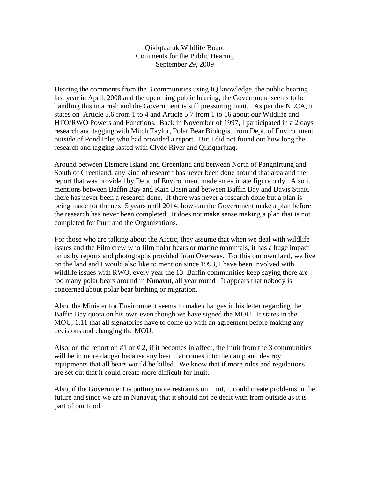Qikiqtaaluk Wildlife Board Comments for the Public Hearing September 29, 2009

Hearing the comments from the 3 communities using IQ knowledge, the public hearing last year in April, 2008 and the upcoming public hearing, the Government seems to be handling this in a rush and the Government is still pressuring Inuit. As per the NLCA, it states on Article 5.6 from 1 to 4 and Article 5.7 from 1 to 16 about our Wildlife and HTO/RWO Powers and Functions. Back in November of 1997, I participated in a 2 days research and tagging with Mitch Taylor, Polar Bear Biologist from Dept. of Environment outside of Pond Inlet who had provided a report. But I did not found out how long the research and tagging lasted with Clyde River and Qikiqtarjuaq.

Around between Elsmere Island and Greenland and between North of Pangnirtung and South of Greenland, any kind of research has never been done around that area and the report that was provided by Dept. of Environment made an estimate figure only. Also it mentions between Baffin Bay and Kain Basin and between Baffin Bay and Davis Strait, there has never been a research done. If there was never a research done but a plan is being made for the next 5 years until 2014, how can the Government make a plan before the research has never been completed. It does not make sense making a plan that is not completed for Inuit and the Organizations.

For those who are talking about the Arctic, they assume that when we deal with wildlife issues and the Film crew who film polar bears or marine mammals, it has a huge impact on us by reports and photographs provided from Overseas. For this our own land, we live on the land and I would also like to mention since 1993, I have been involved with wildlife issues with RWO, every year the 13 Baffin communities keep saying there are too many polar bears around in Nunavut, all year round . It appears that nobody is concerned about polar bear birthing or migration.

Also, the Minister for Environment seems to make changes in his letter regarding the Baffin Bay quota on his own even though we have signed the MOU. It states in the MOU, 1.11 that all signatories have to come up with an agreement before making any decisions and changing the MOU.

Also, on the report on  $#1$  or  $#2$ , if it becomes in affect, the Inuit from the 3 communities will be in more danger because any bear that comes into the camp and destroy equipments that all bears would be killed. We know that if more rules and regulations are set out that it could create more difficult for Inuit.

Also, if the Government is putting more restraints on Inuit, it could create problems in the future and since we are in Nunavut, that it should not be dealt with from outside as it is part of our food.